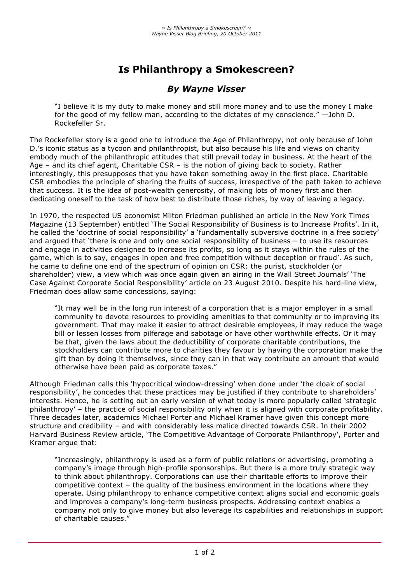# **Is Philanthropy a Smokescreen?**

# *By Wayne Visser*

"I believe it is my duty to make money and still more money and to use the money I make for the good of my fellow man, according to the dictates of my conscience." —John D. Rockefeller Sr.

The Rockefeller story is a good one to introduce the Age of Philanthropy, not only because of John D.'s iconic status as a tycoon and philanthropist, but also because his life and views on charity embody much of the philanthropic attitudes that still prevail today in business. At the heart of the Age – and its chief agent, Charitable CSR – is the notion of giving back to society. Rather interestingly, this presupposes that you have taken something away in the first place. Charitable CSR embodies the principle of sharing the fruits of success, irrespective of the path taken to achieve that success. It is the idea of post-wealth generosity, of making lots of money first and then dedicating oneself to the task of how best to distribute those riches, by way of leaving a legacy.

In 1970, the respected US economist Milton Friedman published an article in the New York Times Magazine (13 September) entitled 'The Social Responsibility of Business is to Increase Profits'. In it, he called the 'doctrine of social responsibility' a 'fundamentally subversive doctrine in a free society' and argued that 'there is one and only one social responsibility of business – to use its resources and engage in activities designed to increase its profits, so long as it stays within the rules of the game, which is to say, engages in open and free competition without deception or fraud'. As such, he came to define one end of the spectrum of opinion on CSR: the purist, stockholder (or shareholder) view, a view which was once again given an airing in the Wall Street Journals' 'The Case Against Corporate Social Responsibility' article on 23 August 2010. Despite his hard-line view, Friedman does allow some concessions, saying:

"It may well be in the long run interest of a corporation that is a major employer in a small community to devote resources to providing amenities to that community or to improving its government. That may make it easier to attract desirable employees, it may reduce the wage bill or lessen losses from pilferage and sabotage or have other worthwhile effects. Or it may be that, given the laws about the deductibility of corporate charitable contributions, the stockholders can contribute more to charities they favour by having the corporation make the gift than by doing it themselves, since they can in that way contribute an amount that would otherwise have been paid as corporate taxes."

Although Friedman calls this 'hypocritical window-dressing' when done under 'the cloak of social responsibility', he concedes that these practices may be justified if they contribute to shareholders' interests. Hence, he is setting out an early version of what today is more popularly called 'strategic philanthropy' – the practice of social responsibility only when it is aligned with corporate profitability. Three decades later, academics Michael Porter and Michael Kramer have given this concept more structure and credibility – and with considerably less malice directed towards CSR. In their 2002 Harvard Business Review article, 'The Competitive Advantage of Corporate Philanthropy', Porter and Kramer argue that:

"Increasingly, philanthropy is used as a form of public relations or advertising, promoting a company's image through high-profile sponsorships. But there is a more truly strategic way to think about philanthropy. Corporations can use their charitable efforts to improve their competitive context – the quality of the business environment in the locations where they operate. Using philanthropy to enhance competitive context aligns social and economic goals and improves a company's long-term business prospects. Addressing context enables a company not only to give money but also leverage its capabilities and relationships in support of charitable causes."